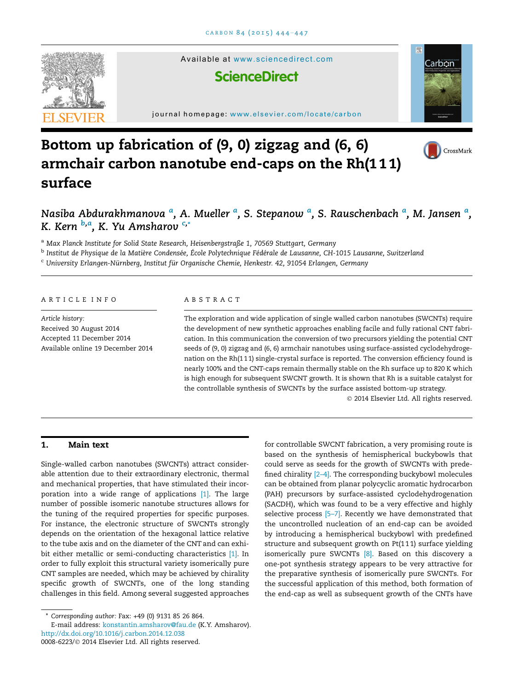

Available at <www.sciencedirect.com>

# **ScienceDirect**

journal homepage: [www.elsevier.com/locate/carbon](http://www.elsevier.com/locate/carbon)



CrossMark



## Nasiba Abdurakhmanova <sup>a</sup>, A. Mueller <sup>a</sup>, S. Stepanow <sup>a</sup>, S. Rauschenbach <sup>a</sup>, M. Jansen <sup>a</sup>, K. Kern <sup>b,a</sup>, K. Yu Amsharov <sup>c,</sup>\*

<sup>a</sup> Max Planck Institute for Solid State Research, Heisenbergstraße 1, 70569 Stuttgart, Germany

 $^{\rm b}$  Institut de Physiaue de la Matière Condensée, École Polytechnique Fédérale de Lausanne, CH-1015 Lausanne, Switzerland

<sup>c</sup> University Erlangen-Nürnberg, Institut für Organische Chemie, Henkestr. 42, 91054 Erlangen, Germany

#### ARTICLE INFO

Article history: Received 30 August 2014 Accepted 11 December 2014 Available online 19 December 2014

## ABSTRACT

The exploration and wide application of single walled carbon nanotubes (SWCNTs) require the development of new synthetic approaches enabling facile and fully rational CNT fabrication. In this communication the conversion of two precursors yielding the potential CNT seeds of (9, 0) zigzag and (6, 6) armchair nanotubes using surface-assisted cyclodehydrogenation on the Rh(111) single-crystal surface is reported. The conversion efficiency found is nearly 100% and the CNT-caps remain thermally stable on the Rh surface up to 820 K which is high enough for subsequent SWCNT growth. It is shown that Rh is a suitable catalyst for the controllable synthesis of SWCNTs by the surface assisted bottom-up strategy.

© 2014 Elsevier Ltd. All rights reserved.

## 1. Main text

Single-walled carbon nanotubes (SWCNTs) attract considerable attention due to their extraordinary electronic, thermal and mechanical properties, that have stimulated their incorporation into a wide range of applications [\[1\]](#page-3-0). The large number of possible isomeric nanotube structures allows for the tuning of the required properties for specific purposes. For instance, the electronic structure of SWCNTs strongly depends on the orientation of the hexagonal lattice relative to the tube axis and on the diameter of the CNT and can exhi-bit either metallic or semi-conducting characteristics [\[1\].](#page-3-0) In order to fully exploit this structural variety isomerically pure CNT samples are needed, which may be achieved by chirality specific growth of SWCNTs, one of the long standing challenges in this field. Among several suggested approaches

for controllable SWCNT fabrication, a very promising route is based on the synthesis of hemispherical buckybowls that could serve as seeds for the growth of SWCNTs with predefined chirality [\[2–4\].](#page-3-0) The corresponding buckybowl molecules can be obtained from planar polycyclic aromatic hydrocarbon (PAH) precursors by surface-assisted cyclodehydrogenation (SACDH), which was found to be a very effective and highly selective process [5-7]. Recently we have demonstrated that the uncontrolled nucleation of an end-cap can be avoided by introducing a hemispherical buckybowl with predefined structure and subsequent growth on Pt(1 1 1) surface yielding isomerically pure SWCNTs [\[8\].](#page-3-0) Based on this discovery a one-pot synthesis strategy appears to be very attractive for the preparative synthesis of isomerically pure SWCNTs. For the successful application of this method, both formation of the end-cap as well as subsequent growth of the CNTs have

Corresponding author: Fax: +49 (0) 9131 85 26 864.

<http://dx.doi.org/10.1016/j.carbon.2014.12.038> E-mail address: [konstantin.amsharov@fau.de](mailto:konstantin.amsharov@fau.de) (K.Y. Amsharov).

<sup>0008-6223/© 2014</sup> Elsevier Ltd. All rights reserved.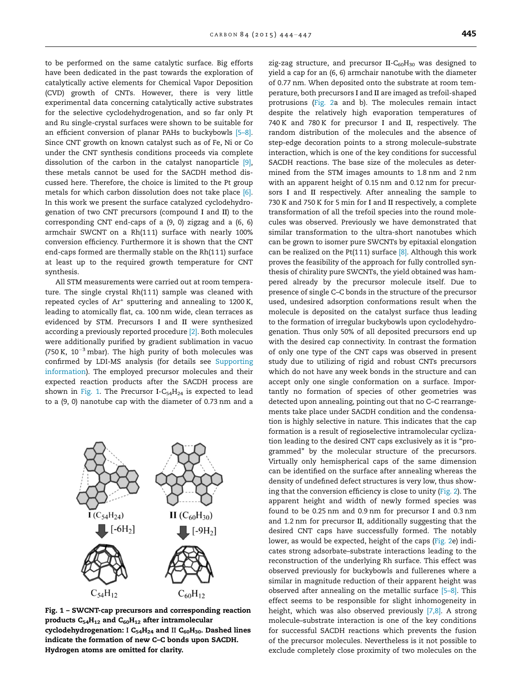to be performed on the same catalytic surface. Big efforts have been dedicated in the past towards the exploration of catalytically active elements for Chemical Vapor Deposition (CVD) growth of CNTs. However, there is very little experimental data concerning catalytically active substrates for the selective cyclodehydrogenation, and so far only Pt and Ru single-crystal surfaces were shown to be suitable for an efficient conversion of planar PAHs to buckybowls [\[5–8\].](#page-3-0) Since CNT growth on known catalyst such as of Fe, Ni or Co under the CNT synthesis conditions proceeds via complete dissolution of the carbon in the catalyst nanoparticle [\[9\],](#page-3-0) these metals cannot be used for the SACDH method discussed here. Therefore, the choice is limited to the Pt group metals for which carbon dissolution does not take place [\[6\].](#page-3-0) In this work we present the surface catalyzed cyclodehydrogenation of two CNT precursors (compound I and II) to the corresponding CNT end-caps of a (9, 0) zigzag and a (6, 6) armchair SWCNT on a Rh(111) surface with nearly 100% conversion efficiency. Furthermore it is shown that the CNT end-caps formed are thermally stable on the Rh(111) surface at least up to the required growth temperature for CNT synthesis.

All STM measurements were carried out at room temperature. The single crystal Rh(111) sample was cleaned with repeated cycles of Ar<sup>+</sup> sputtering and annealing to 1200 K, leading to atomically flat, ca. 100 nm wide, clean terraces as evidenced by STM. Precursors I and II were synthesized according a previously reported procedure [\[2\].](#page-3-0) Both molecules were additionally purified by gradient sublimation in vacuo (750 K,  $10^{-3}$  mbar). The high purity of both molecules was confirmed by LDI-MS analysis (for details see Supporting information). The employed precursor molecules and their expected reaction products after the SACDH process are shown in Fig. 1. The Precursor I-C<sub>54</sub>H<sub>24</sub> is expected to lead to a (9, 0) nanotube cap with the diameter of 0.73 nm and a



Fig. 1 – SWCNT-cap precursors and corresponding reaction products  $C_{54}H_{12}$  and  $C_{60}H_{12}$  after intramolecular cyclodehydrogenation: I  $C_{54}H_{24}$  and II  $C_{60}H_{30}$ . Dashed lines indicate the formation of new C–C bonds upon SACDH. Hydrogen atoms are omitted for clarity.

zig-zag structure, and precursor II- $C_{60}H_{30}$  was designed to yield a cap for an (6, 6) armchair nanotube with the diameter of 0.77 nm. When deposited onto the substrate at room temperature, both precursors I and II are imaged as trefoil-shaped protrusions [\(Fig. 2](#page-2-0)a and b). The molecules remain intact despite the relatively high evaporation temperatures of 740 K and 780 K for precursor I and II, respectively. The random distribution of the molecules and the absence of step-edge decoration points to a strong molecule–substrate interaction, which is one of the key conditions for successful SACDH reactions. The base size of the molecules as determined from the STM images amounts to 1.8 nm and 2 nm with an apparent height of 0.15 nm and 0.12 nm for precursors I and II respectively. After annealing the sample to 730 K and 750 K for 5 min for I and II respectively, a complete transformation of all the trefoil species into the round molecules was observed. Previously we have demonstrated that similar transformation to the ultra-short nanotubes which can be grown to isomer pure SWCNTs by epitaxial elongation can be realized on the Pt(111) surface  $[8]$ . Although this work proves the feasibility of the approach for fully controlled synthesis of chirality pure SWCNTs, the yield obtained was hampered already by the precursor molecule itself. Due to presence of single C–C bonds in the structure of the precursor used, undesired adsorption conformations result when the molecule is deposited on the catalyst surface thus leading to the formation of irregular buckybowls upon cyclodehydrogenation. Thus only 50% of all deposited precursors end up with the desired cap connectivity. In contrast the formation of only one type of the CNT caps was observed in present study due to utilizing of rigid and robust CNTs precursors which do not have any week bonds in the structure and can accept only one single conformation on a surface. Importantly no formation of species of other geometries was detected upon annealing, pointing out that no C–C rearrangements take place under SACDH condition and the condensation is highly selective in nature. This indicates that the cap formation is a result of regioselective intramolecular cyclization leading to the desired CNT caps exclusively as it is ''programmed'' by the molecular structure of the precursors. Virtually only hemispherical caps of the same dimension can be identified on the surface after annealing whereas the density of undefined defect structures is very low, thus showing that the conversion efficiency is close to unity [\(Fig. 2](#page-2-0)). The apparent height and width of newly formed species was found to be 0.25 nm and 0.9 nm for precursor I and 0.3 nm and 1.2 nm for precursor II, additionally suggesting that the desired CNT caps have successfully formed. The notably lower, as would be expected, height of the caps ([Fig. 2](#page-2-0)e) indicates strong adsorbate–substrate interactions leading to the reconstruction of the underlying Rh surface. This effect was observed previously for buckybowls and fullerenes where a similar in magnitude reduction of their apparent height was observed after annealing on the metallic surface [\[5–8\]](#page-3-0). This effect seems to be responsible for slight inhomogeneity in height, which was also observed previously [\[7,8\]](#page-3-0). A strong molecule–substrate interaction is one of the key conditions for successful SACDH reactions which prevents the fusion of the precursor molecules. Nevertheless is it not possible to exclude completely close proximity of two molecules on the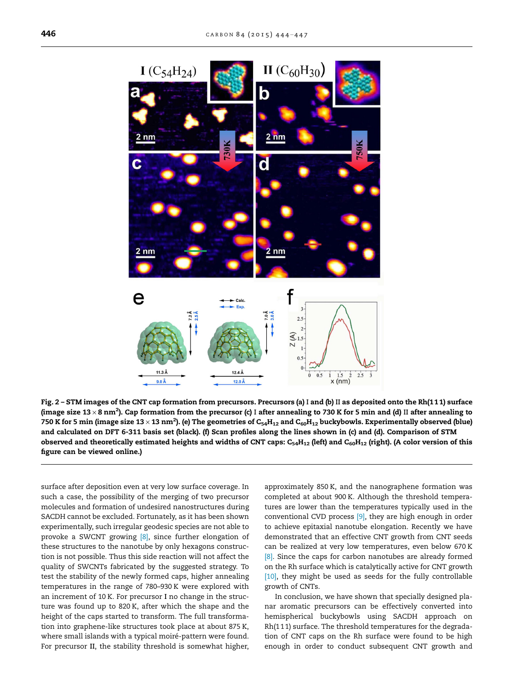<span id="page-2-0"></span>

Fig. 2 – STM images of the CNT cap formation from precursors. Precursors (a) I and (b) II as deposited onto the Rh(111) surface (image size 13  $\times$  8 nm²). Cap formation from the precursor (c) I after annealing to 730 K for 5 min and (d) II after annealing to 750 K for 5 min (image size 13  $\times$  13 nm<sup>2</sup>). (e) The geometries of C<sub>54</sub>H<sub>12</sub> and C<sub>60</sub>H<sub>12</sub> buckybowls. Experimentally observed (blue) and calculated on DFT 6-311 basis set (black). (f) Scan profiles along the lines shown in (c) and (d). Comparison of STM observed and theoretically estimated heights and widths of CNT caps:  $C_54H_{12}$  (left) and  $C_60H_{12}$  (right). (A color version of this figure can be viewed online.)

surface after deposition even at very low surface coverage. In such a case, the possibility of the merging of two precursor molecules and formation of undesired nanostructures during SACDH cannot be excluded. Fortunately, as it has been shown experimentally, such irregular geodesic species are not able to provoke a SWCNT growing [\[8\],](#page-3-0) since further elongation of these structures to the nanotube by only hexagons construction is not possible. Thus this side reaction will not affect the quality of SWCNTs fabricated by the suggested strategy. To test the stability of the newly formed caps, higher annealing temperatures in the range of 780–930 K were explored with an increment of 10 K. For precursor I no change in the structure was found up to 820 K, after which the shape and the height of the caps started to transform. The full transformation into graphene-like structures took place at about 875 K, where small islands with a typical moiré-pattern were found. For precursor II, the stability threshold is somewhat higher,

approximately 850 K, and the nanographene formation was completed at about 900 K. Although the threshold temperatures are lower than the temperatures typically used in the conventional CVD process [\[9\],](#page-3-0) they are high enough in order to achieve epitaxial nanotube elongation. Recently we have demonstrated that an effective CNT growth from CNT seeds can be realized at very low temperatures, even below 670 K [\[8\].](#page-3-0) Since the caps for carbon nanotubes are already formed on the Rh surface which is catalytically active for CNT growth [\[10\]](#page-3-0), they might be used as seeds for the fully controllable growth of CNTs.

In conclusion, we have shown that specially designed planar aromatic precursors can be effectively converted into hemispherical buckybowls using SACDH approach on Rh(111) surface. The threshold temperatures for the degradation of CNT caps on the Rh surface were found to be high enough in order to conduct subsequent CNT growth and